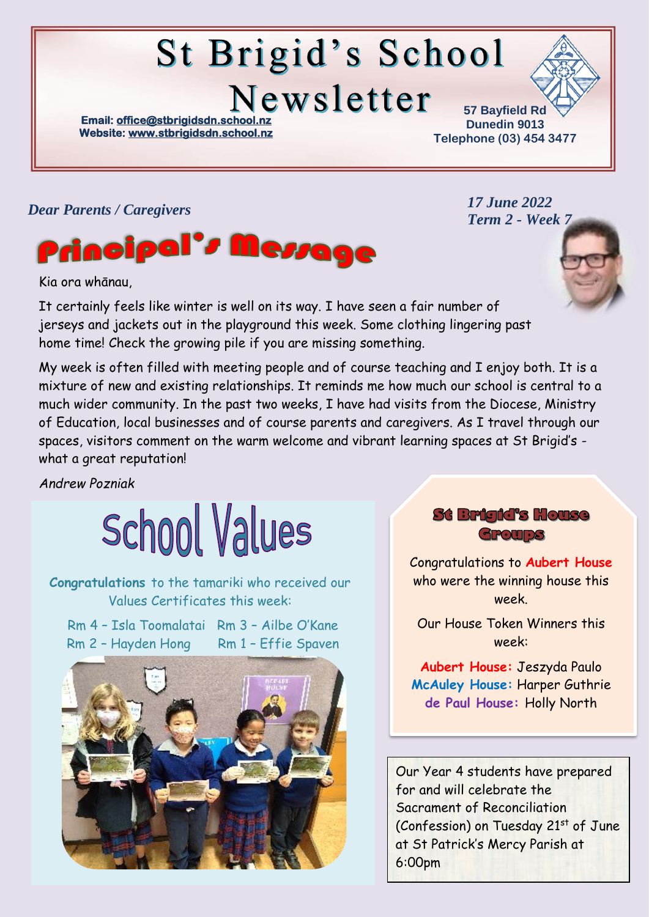# St Brigid's School Newsletter

**Email: office@stbrigidsdn.school. Website[: www.stbrigidsdn.school.nz](http://www.stbrigidsdn.school.nz/)** 

**57 Bayfield Rd Dunedin 9013 Telephone (03) 454 3477** 

> *17 June 2022 Term 2 - Week 7*

#### *Dear Parents / Caregivers*



Kia ora whānau,

It certainly feels like winter is well on its way. I have seen a fair number of jerseys and jackets out in the playground this week. Some clothing lingering past home time! Check the growing pile if you are missing something.

My week is often filled with meeting people and of course teaching and I enjoy both. It is a mixture of new and existing relationships. It reminds me how much our school is central to a much wider community. In the past two weeks, I have had visits from the Diocese, Ministry of Education, local businesses and of course parents and caregivers. As I travel through our spaces, visitors comment on the warm welcome and vibrant learning spaces at St Brigid's what a great reputation!

*Andrew Pozniak*



**Congratulations** to the tamariki who received our Values Certificates this week:

Rm 4 – Isla Toomalatai Rm 3 – Ailbe O'Kane Rm 2 - Hayden Hong Rm 1 - Effie Spaven



**St Brigid's House** Groups

Congratulations to **Aubert House** who were the winning house this week.

Our House Token Winners this week:

**Aubert House:** Jeszyda Paulo **McAuley House:** Harper Guthrie **de Paul House:** Holly North

Our Year 4 students have prepared for and will celebrate the Sacrament of Reconciliation (Confession) on Tuesday 21<sup>st</sup> of June at St Patrick's Mercy Parish at 6:00pm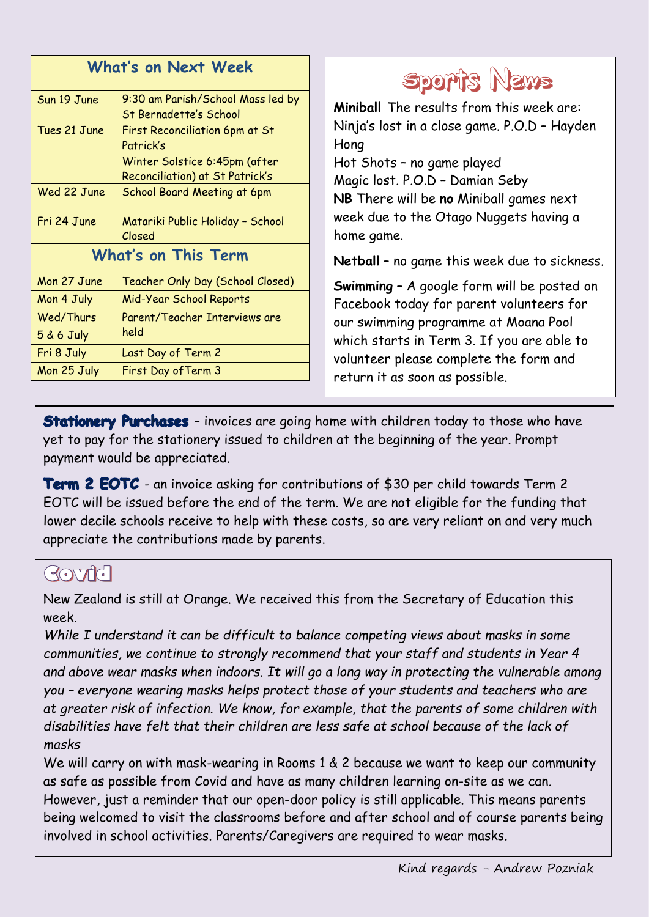| <b>What's on Next Week</b> |                                                             |
|----------------------------|-------------------------------------------------------------|
| Sun 19 June                | 9:30 am Parish/School Mass led by<br>St Bernadette's School |
| Tues 21 June               | <b>First Reconciliation 6pm at St</b><br>Patrick's          |
|                            | Winter Solstice 6:45pm (after                               |
|                            | Reconciliation) at St Patrick's                             |
| Wed 22 June                | School Board Meeting at 6pm                                 |
| Fri 24 June                | Matariki Public Holiday - School<br>Closed                  |
| <b>What's on This Term</b> |                                                             |
| Mon 27 June                | Teacher Only Day (School Closed)                            |
| Mon 4 July                 | Mid-Year School Reports                                     |
| Wed/Thurs                  | Parent/Teacher Interviews are                               |
| $5 & 6$ July               | held                                                        |
| Fri 8 July                 | Last Day of Term 2                                          |
| Mon 25 July                | First Day of Term 3                                         |



**Miniball** The results from this week are: Ninja's lost in a close game. P.O.D – Hayden Hong

Hot Shots – no game played Magic lost. P.O.D – Damian Seby **NB** There will be **no** Miniball games next week due to the Otago Nuggets having a home game.

**Netball** – no game this week due to sickness.

**Swimming** – A google form will be posted on Facebook today for parent volunteers for our swimming programme at Moana Pool which starts in Term 3. If you are able to volunteer please complete the form and return it as soon as possible.

**Stationery Purchases** - invoices are going home with children today to those who have yet to pay for the stationery issued to children at the beginning of the year. Prompt payment would be appreciated.

**Term 2 EOTC** - an invoice asking for contributions of \$30 per child towards Term 2 EOTC will be issued before the end of the term. We are not eligible for the funding that lower decile schools receive to help with these costs, so are very reliant on and very much appreciate the contributions made by parents.

### $GOTG$

New Zealand is still at Orange. We received this from the Secretary of Education this week.

*While I understand it can be difficult to balance competing views about masks in some communities, we continue to strongly recommend that your staff and students in Year 4 and above wear masks when indoors. It will go a long way in protecting the vulnerable among you – everyone wearing masks helps protect those of your students and teachers who are at greater risk of infection. We know, for example, that the parents of some children with disabilities have felt that their children are less safe at school because of the lack of masks*

We will carry on with mask-wearing in Rooms 1 & 2 because we want to keep our community as safe as possible from Covid and have as many children learning on-site as we can. However, just a reminder that our open-door policy is still applicable. This means parents being welcomed to visit the classrooms before and after school and of course parents being involved in school activities. Parents/Caregivers are required to wear masks.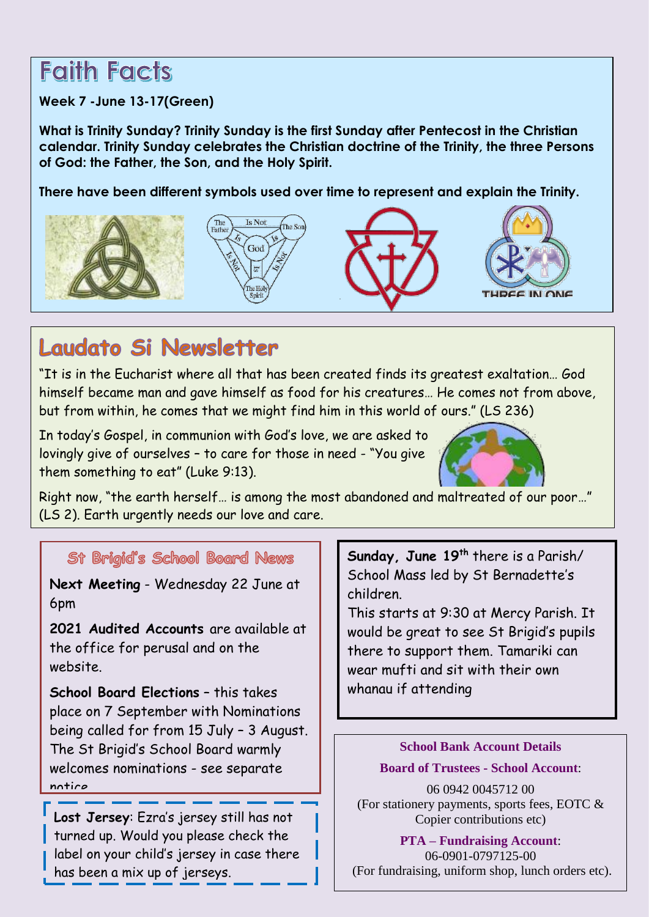## **Faith Facts**

#### **Week 7 -June 13-17(Green)**

**What is Trinity Sunday? Trinity Sunday is the first Sunday after Pentecost in the Christian calendar. Trinity Sunday celebrates the Christian doctrine of the Trinity, the three Persons of God: the Father, the Son, and the Holy Spirit.**

**There have been different symbols used over time to represent and explain the Trinity.**



### Laudato Si Newsletter

"It is in the Eucharist where all that has been created finds its greatest exaltation… God himself became man and gave himself as food for his creatures… He comes not from above, but from within, he comes that we might find him in this world of ours." (LS 236)

In today's Gospel, in communion with God's love, we are asked to lovingly give of ourselves – to care for those in need - "You give them something to eat" (Luke 9:13).



Right now, "the earth herself… is among the most abandoned and maltreated of our poor…" (LS 2). Earth urgently needs our love and care.

St Brigid's School Board News

**Next Meeting** - Wednesday 22 June at 6pm

**2021 Audited Accounts** are available at the office for perusal and on the website.

**School Board Elections** – this takes place on 7 September with Nominations being called for from 15 July – 3 August. The St Brigid's School Board warmly welcomes nominations - see separate notice

**Lost Jersey**: Ezra's jersey still has not turned up. Would you please check the label on your child's jersey in case there has been a mix up of jerseys.

**Sunday, June 19th** there is a Parish/ School Mass led by St Bernadette's children.

This starts at 9:30 at Mercy Parish. It would be great to see St Brigid's pupils there to support them. Tamariki can wear mufti and sit with their own whanau if attending

> **School Bank Account Details Board of Trustees - School Account**:

06 0942 0045712 00 (For stationery payments, sports fees, EOTC & Copier contributions etc)

**PTA – Fundraising Account**: 06-0901-0797125-00 (For fundraising, uniform shop, lunch orders etc).